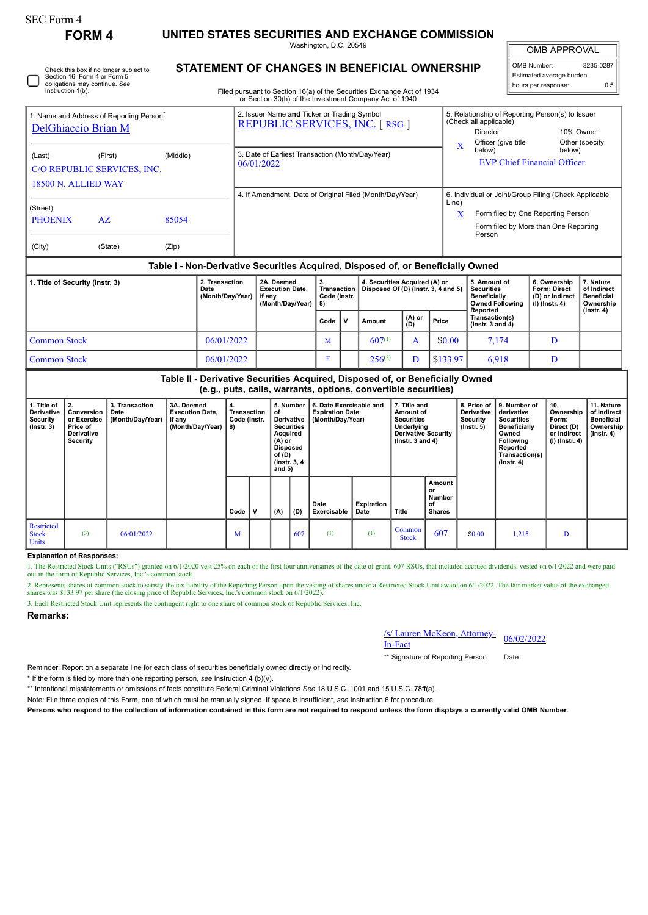| orm<br>r. |  |
|-----------|--|
|-----------|--|

0

# **FORM 4 UNITED STATES SECURITIES AND EXCHANGE COMMISSION**

Washington, D.C. 20549

OMB APPROVAL OMB Number: 3235-0287 Estimated average burden

hours per response: 0.5

| Check this box if no longer subiect to |  |
|----------------------------------------|--|
| Section 16. Form 4 or Form 5           |  |
| obligations may continue. See          |  |
| Instruction 1(b).                      |  |
|                                        |  |
|                                        |  |

## **STATEMENT OF CHANGES IN BENEFICIAL OWNERSHIP**

Filed pursuant to Section 16(a) of the Securities Exchange Act of 1934 or Section 30(h) of the Investment Company Act of 1940

| <b>DelGhiaccio Brian M</b>                                              | 1. Name and Address of Reporting Person <sup>®</sup>                             |          | 2. Issuer Name and Ticker or Trading Symbol<br><b>REPUBLIC SERVICES, INC. [RSG ]</b> | 5. Relationship of Reporting Person(s) to Issuer<br>(Check all applicable)<br>10% Owner<br>Director             |  |  |  |  |  |  |  |
|-------------------------------------------------------------------------|----------------------------------------------------------------------------------|----------|--------------------------------------------------------------------------------------|-----------------------------------------------------------------------------------------------------------------|--|--|--|--|--|--|--|
| (Last)<br>(First)<br>C/O REPUBLIC SERVICES, INC.<br>18500 N. ALLIED WAY |                                                                                  | (Middle) | 3. Date of Earliest Transaction (Month/Day/Year)<br>06/01/2022                       | Officer (give title<br>Other (specify)<br>$\mathbf x$<br>below)<br>below)<br><b>EVP Chief Financial Officer</b> |  |  |  |  |  |  |  |
| (Street)                                                                |                                                                                  |          | 4. If Amendment, Date of Original Filed (Month/Day/Year)                             | 6. Individual or Joint/Group Filing (Check Applicable<br>Line)                                                  |  |  |  |  |  |  |  |
| <b>PHOENIX</b>                                                          | 85054<br>AZ.                                                                     |          |                                                                                      | $\mathbf x$<br>Form filed by One Reporting Person<br>Form filed by More than One Reporting                      |  |  |  |  |  |  |  |
| (City)                                                                  | (State)                                                                          | (Zip)    |                                                                                      | Person                                                                                                          |  |  |  |  |  |  |  |
|                                                                         | Table I - Non-Derivative Securities Acquired, Disposed of, or Beneficially Owned |          |                                                                                      |                                                                                                                 |  |  |  |  |  |  |  |

| 1. Title of Security (Instr. 3) | 2. Transaction<br>Date<br>(Month/Dav/Year) | 2A. Deemed<br><b>Execution Date.</b><br>if anv<br>(Month/Dav/Year) | З.<br>Transaction<br>Code (Instr.<br>8) |  | 4. Securities Acquired (A) or<br>Disposed Of (D) (Instr. 3, 4 and 5) |               |          | 5. Amount of<br><b>Securities</b><br><b>Beneficially</b><br><b>Owned Following</b><br>Reported | 6. Ownership<br>Form: Direct<br>(D) or Indirect<br>(I) (Instr. 4) | . Nature<br>of Indirect<br><b>Beneficial</b><br>Ownership<br>$($ Instr. 4 $)$ |
|---------------------------------|--------------------------------------------|--------------------------------------------------------------------|-----------------------------------------|--|----------------------------------------------------------------------|---------------|----------|------------------------------------------------------------------------------------------------|-------------------------------------------------------------------|-------------------------------------------------------------------------------|
|                                 |                                            |                                                                    | Code                                    |  | Amount                                                               | (A) or<br>(D) | Price    | Transaction(s)<br>$($ lnstr. 3 and 4 $)$                                                       |                                                                   |                                                                               |
| <b>Common Stock</b>             | 06/01/2022                                 |                                                                    | M                                       |  | $607^{(1)}$                                                          |               | \$0.00   | 7.174                                                                                          | D                                                                 |                                                                               |
| <b>Common Stock</b>             | 06/01/2022                                 |                                                                    | F                                       |  | $256^{(2)}$                                                          | ר             | \$133.97 | 6,918                                                                                          | D                                                                 |                                                                               |

## **Table II - Derivative Securities Acquired, Disposed of, or Beneficially Owned (e.g., puts, calls, warrants, options, convertible securities)**

| 1. Title of<br>Derivative<br>Security<br>$($ lnstr. 3 $)$ | 2.<br>Conversion<br>or Exercise<br>Price of<br>Derivative<br>Security | 3. Transaction<br>Date<br>(Month/Day/Year) | 3A. Deemed<br><b>Execution Date,</b><br>if any<br>(Month/Day/Year) $  8$ ) | 4.<br>Transaction<br>Code (Instr. |              | 5. Number<br>of<br>Derivative<br><b>Securities</b><br>Acquired<br>(A) or<br><b>Disposed</b><br>of $(D)$<br>(Instr. 3, 4)<br>and $5)$ |     | 6. Date Exercisable and<br><b>Expiration Date</b><br>(Month/Day/Year) |                    | 7. Title and<br>Amount of<br><b>Securities</b><br>Underlying<br><b>Derivative Security</b><br>$($ lnstr. 3 and 4 $)$ |                                                      | 8. Price of<br><b>Derivative</b><br>Security<br>$($ lnstr. 5 $)$ | 9. Number of<br>derivative<br><b>Securities</b><br><b>Beneficially</b><br>Owned<br>Following<br>Reported<br>Transaction(s)<br>$($ lnstr. 4 $)$ | 10.<br>Ownership<br>Form:<br>Direct (D)<br>or Indirect<br>$(l)$ (lnstr. 4) | 11. Nature<br>of Indirect<br><b>Beneficial</b><br>Ownership<br>$($ lnstr. 4 $)$ |
|-----------------------------------------------------------|-----------------------------------------------------------------------|--------------------------------------------|----------------------------------------------------------------------------|-----------------------------------|--------------|--------------------------------------------------------------------------------------------------------------------------------------|-----|-----------------------------------------------------------------------|--------------------|----------------------------------------------------------------------------------------------------------------------|------------------------------------------------------|------------------------------------------------------------------|------------------------------------------------------------------------------------------------------------------------------------------------|----------------------------------------------------------------------------|---------------------------------------------------------------------------------|
|                                                           |                                                                       |                                            |                                                                            | Code                              | $\mathsf{v}$ | (A)                                                                                                                                  | (D) | Date<br>Exercisable                                                   | Expiration<br>Date | Title                                                                                                                | Amount<br>or<br><b>Number</b><br>of<br><b>Shares</b> |                                                                  |                                                                                                                                                |                                                                            |                                                                                 |
| Restricted<br><b>Stock</b><br><b>Units</b>                | (3)                                                                   | 06/01/2022                                 |                                                                            | M                                 |              |                                                                                                                                      | 607 | (1)                                                                   | (1)                | Common<br><b>Stock</b>                                                                                               | 607                                                  | \$0.00                                                           | 1,215                                                                                                                                          | D                                                                          |                                                                                 |

### **Explanation of Responses:**

1. The Restricted Stock Units ("RSUs") granted on 6/1/2020 vest 25% on each of the first four anniversaries of the date of grant. 607 RSUs, that included accrued dividends, vested on 6/1/2022 and were paid out in the form of Republic Services, Inc.'s common stock.

2. Represents shares of common stock to satisfy the tax liability of the Reporting Person upon the vesting of shares under a Restricted Stock Unit award on 6/1/2022. The fair market value of the exchanged shares was \$133.97 per share (the closing price of Republic Services, Inc.'s common stock on 6/1/2022).

3. Each Restricted Stock Unit represents the contingent right to one share of common stock of Republic Services, Inc.

#### **Remarks:**

/s/ Lauren McKeon, Attorney-<br>In-Fact

\*\* Signature of Reporting Person Date

Reminder: Report on a separate line for each class of securities beneficially owned directly or indirectly.

\* If the form is filed by more than one reporting person, *see* Instruction 4 (b)(v).

\*\* Intentional misstatements or omissions of facts constitute Federal Criminal Violations *See* 18 U.S.C. 1001 and 15 U.S.C. 78ff(a).

Note: File three copies of this Form, one of which must be manually signed. If space is insufficient, *see* Instruction 6 for procedure.

**Persons who respond to the collection of information contained in this form are not required to respond unless the form displays a currently valid OMB Number.**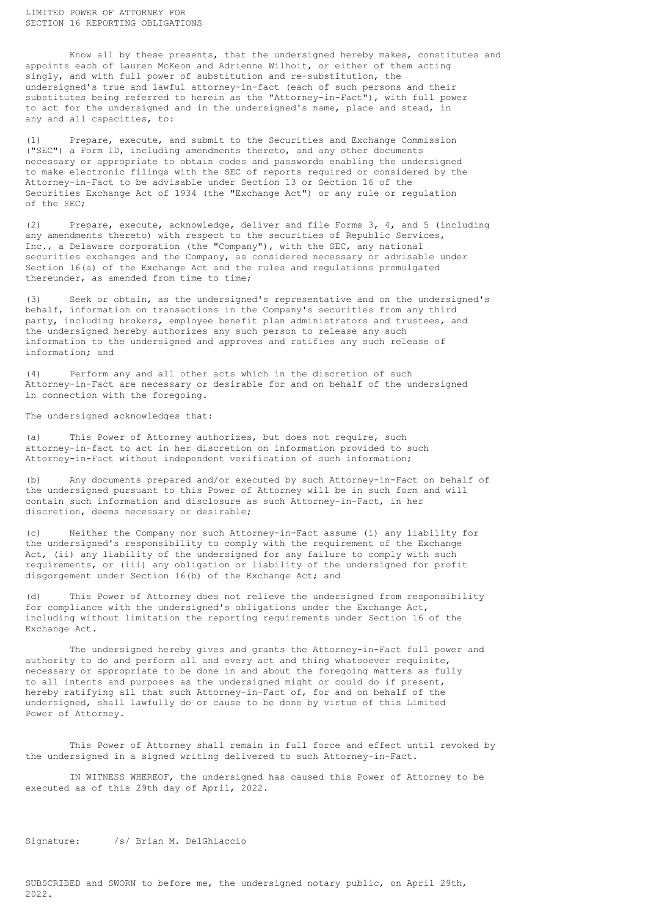Know all by these presents, that the undersigned hereby makes, constitutes and appoints each of Lauren McKeon and Adrienne Wilhoit, or either of them acting singly, and with full power of substitution and re-substitution, the undersigned's true and lawful attorney-in-fact (each of such persons and their substitutes being referred to herein as the "Attorney-in-Fact"), with full power to act for the undersigned and in the undersigned's name, place and stead, in any and all capacities, to:

(1) Prepare, execute, and submit to the Securities and Exchange Commission ("SEC") a Form ID, including amendments thereto, and any other documents necessary or appropriate to obtain codes and passwords enabling the undersigned to make electronic filings with the SEC of reports required or considered by the Attorney-in-Fact to be advisable under Section 13 or Section 16 of the Securities Exchange Act of 1934 (the "Exchange Act") or any rule or regulation of the SEC;

(2) Prepare, execute, acknowledge, deliver and file Forms 3, 4, and 5 (including any amendments thereto) with respect to the securities of Republic Services, Inc., a Delaware corporation (the "Company"), with the SEC, any national securities exchanges and the Company, as considered necessary or advisable under Section 16(a) of the Exchange Act and the rules and regulations promulgated thereunder, as amended from time to time;

(3) Seek or obtain, as the undersigned's representative and on the undersigned's behalf, information on transactions in the Company's securities from any third party, including brokers, employee benefit plan administrators and trustees, and the undersigned hereby authorizes any such person to release any such information to the undersigned and approves and ratifies any such release of information; and

(4) Perform any and all other acts which in the discretion of such Attorney-in-Fact are necessary or desirable for and on behalf of the undersigned in connection with the foregoing.

The undersigned acknowledges that:

(a) This Power of Attorney authorizes, but does not require, such attorney-in-fact to act in her discretion on information provided to such Attorney-in-Fact without independent verification of such information;

(b) Any documents prepared and/or executed by such Attorney-in-Fact on behalf of the undersigned pursuant to this Power of Attorney will be in such form and will contain such information and disclosure as such Attorney-in-Fact, in her discretion, deems necessary or desirable;

(c) Neither the Company nor such Attorney-in-Fact assume (i) any liability for the undersigned's responsibility to comply with the requirement of the Exchange Act, (ii) any liability of the undersigned for any failure to comply with such requirements, or (iii) any obligation or liability of the undersigned for profit disgorgement under Section 16(b) of the Exchange Act; and

(d) This Power of Attorney does not relieve the undersigned from responsibility for compliance with the undersigned's obligations under the Exchange Act, including without limitation the reporting requirements under Section 16 of the Exchange Act.

The undersigned hereby gives and grants the Attorney-in-Fact full power and authority to do and perform all and every act and thing whatsoever requisite, necessary or appropriate to be done in and about the foregoing matters as fully to all intents and purposes as the undersigned might or could do if present, hereby ratifying all that such Attorney-in-Fact of, for and on behalf of the undersigned, shall lawfully do or cause to be done by virtue of this Limited Power of Attorney.

This Power of Attorney shall remain in full force and effect until revoked by the undersigned in a signed writing delivered to such Attorney-in-Fact.

IN WITNESS WHEREOF, the undersigned has caused this Power of Attorney to be executed as of this 29th day of April, 2022.

Signature: /s/ Brian M. DelGhiaccio